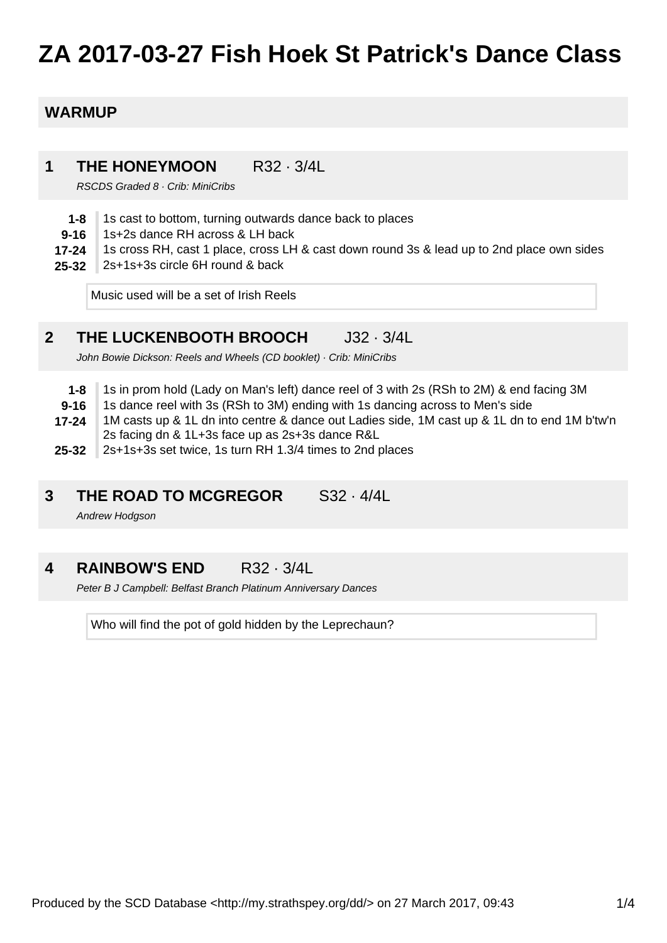# **ZA 2017-03-27 Fish Hoek St Patrick's Dance Class**

### **WARMUP**

#### **1 THE HONEYMOON** R32 · 3/4L

RSCDS Graded 8 · Crib: MiniCribs

- **1-8** 1s cast to bottom, turning outwards dance back to places
- **9-16** 1s+2s dance RH across & LH back
- **17-24** 1s cross RH, cast 1 place, cross LH & cast down round 3s & lead up to 2nd place own sides
- **25-32** 2s+1s+3s circle 6H round & back

Music used will be a set of Irish Reels

#### **2 THE LUCKENBOOTH BROOCH** J32 · 3/4L

John Bowie Dickson: Reels and Wheels (CD booklet) · Crib: MiniCribs

- **1-8** 1s in prom hold (Lady on Man's left) dance reel of 3 with 2s (RSh to 2M) & end facing 3M
- **9-16** 1s dance reel with 3s (RSh to 3M) ending with 1s dancing across to Men's side
- **17-24** 1M casts up & 1L dn into centre & dance out Ladies side, 1M cast up & 1L dn to end 1M b'tw'n 2s facing dn & 1L+3s face up as 2s+3s dance R&L
- **25-32** 2s+1s+3s set twice, 1s turn RH 1.3/4 times to 2nd places

#### **3 THE ROAD TO MCGREGOR** S32 · 4/4L

Andrew Hodgson

#### **4 RAINBOW'S END** R32 · 3/4L

Peter B J Campbell: Belfast Branch Platinum Anniversary Dances

Who will find the pot of gold hidden by the Leprechaun?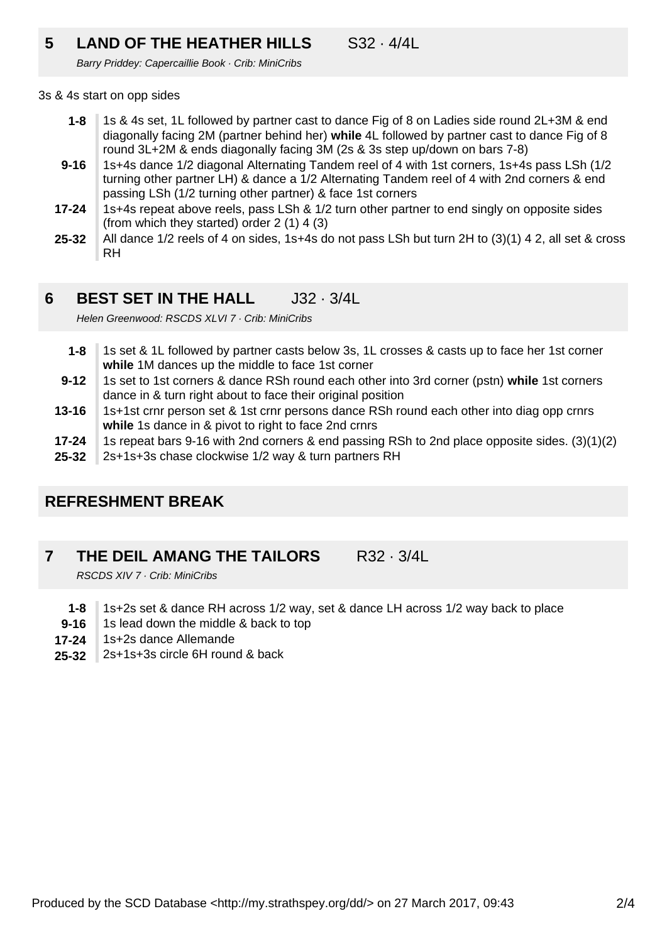## **5 LAND OF THE HEATHER HILLS** S32 · 4/4L

Barry Priddey: Capercaillie Book · Crib: MiniCribs

### 3s & 4s start on opp sides

- **1-8** 1s & 4s set, 1L followed by partner cast to dance Fig of 8 on Ladies side round 2L+3M & end diagonally facing 2M (partner behind her) **while** 4L followed by partner cast to dance Fig of 8 round 3L+2M & ends diagonally facing 3M (2s & 3s step up/down on bars 7-8)
- **9-16** 1s+4s dance 1/2 diagonal Alternating Tandem reel of 4 with 1st corners, 1s+4s pass LSh (1/2 turning other partner LH) & dance a 1/2 Alternating Tandem reel of 4 with 2nd corners & end passing LSh (1/2 turning other partner) & face 1st corners
- **17-24** 1s+4s repeat above reels, pass LSh & 1/2 turn other partner to end singly on opposite sides (from which they started) order 2 (1) 4 (3)
- **25-32** All dance 1/2 reels of 4 on sides, 1s+4s do not pass LSh but turn 2H to (3)(1) 4 2, all set & cross RH

#### **6 BEST SET IN THE HALL** J32 · 3/4L

Helen Greenwood: RSCDS XI VI 7 · Crib: MiniCribs

- **1-8** 1s set & 1L followed by partner casts below 3s, 1L crosses & casts up to face her 1st corner **while** 1M dances up the middle to face 1st corner
- **9-12** 1s set to 1st corners & dance RSh round each other into 3rd corner (pstn) **while** 1st corners dance in & turn right about to face their original position
- **13-16** 1s+1st crnr person set & 1st crnr persons dance RSh round each other into diag opp crnrs **while** 1s dance in & pivot to right to face 2nd crnrs
- **17-24** 1s repeat bars 9-16 with 2nd corners & end passing RSh to 2nd place opposite sides. (3)(1)(2)
- **25-32** 2s+1s+3s chase clockwise 1/2 way & turn partners RH

### **REFRESHMENT BREAK**

#### **7 THE DEIL AMANG THE TAILORS** R32 · 3/4L

RSCDS XIV 7 · Crib: MiniCribs

- **1-8** 1s+2s set & dance RH across 1/2 way, set & dance LH across 1/2 way back to place
- **9-16** 1s lead down the middle & back to top
- **17-24** 1s+2s dance Allemande
- **25-32** 2s+1s+3s circle 6H round & back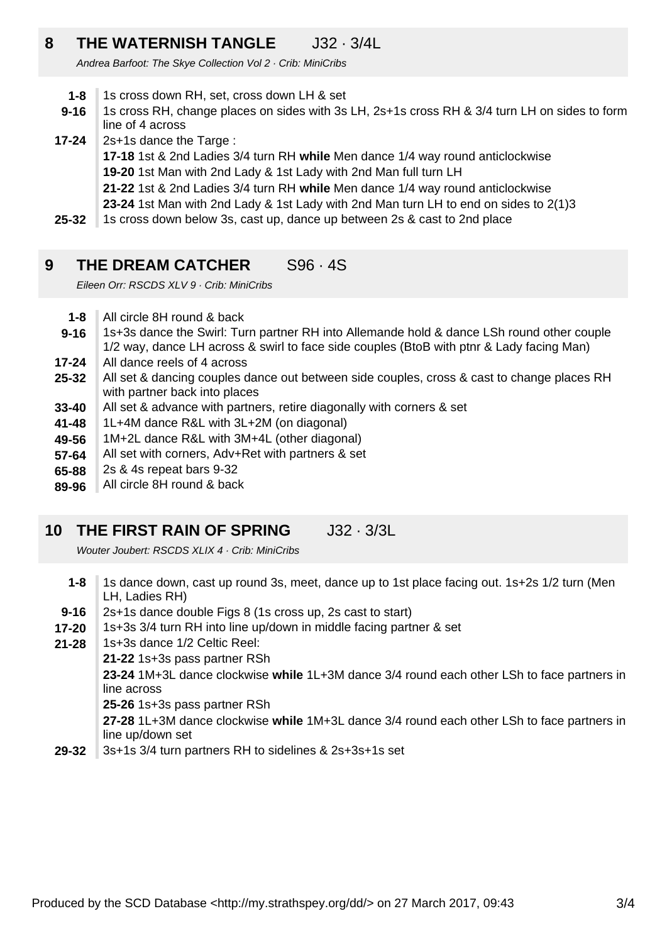### **8 THE WATERNISH TANGLE** J32 · 3/4L

Andrea Barfoot: The Skye Collection Vol 2 · Crib: MiniCribs

- **1-8** 1s cross down RH, set, cross down LH & set
- **9-16** 1s cross RH, change places on sides with 3s LH, 2s+1s cross RH & 3/4 turn LH on sides to form line of 4 across
- **17-24** 2s+1s dance the Targe :
	- **17-18** 1st & 2nd Ladies 3/4 turn RH **while** Men dance 1/4 way round anticlockwise
	- **19-20** 1st Man with 2nd Lady & 1st Lady with 2nd Man full turn LH
	- **21-22** 1st & 2nd Ladies 3/4 turn RH **while** Men dance 1/4 way round anticlockwise
	- **23-24** 1st Man with 2nd Lady & 1st Lady with 2nd Man turn LH to end on sides to 2(1)3
- **25-32** 1s cross down below 3s, cast up, dance up between 2s & cast to 2nd place

### **9 THE DREAM CATCHER** S96 · 4S

Eileen Orr: RSCDS XLV 9 · Crib: MiniCribs

- **1-8** All circle 8H round & back
- **9-16** 1s+3s dance the Swirl: Turn partner RH into Allemande hold & dance LSh round other couple 1/2 way, dance LH across & swirl to face side couples (BtoB with ptnr & Lady facing Man)
- **17-24** All dance reels of 4 across
- **25-32** All set & dancing couples dance out between side couples, cross & cast to change places RH with partner back into places
- **33-40** All set & advance with partners, retire diagonally with corners & set
- **41-48** 1L+4M dance R&L with 3L+2M (on diagonal)
- **49-56** 1M+2L dance R&L with 3M+4L (other diagonal)
- **57-64** All set with corners, Adv+Ret with partners & set
- **65-88** 2s & 4s repeat bars 9-32
- **89-96** All circle 8H round & back

### **10 THE FIRST RAIN OF SPRING** J32 · 3/3L

Wouter Joubert: RSCDS XLIX 4 · Crib: MiniCribs

- **1-8** 1s dance down, cast up round 3s, meet, dance up to 1st place facing out. 1s+2s 1/2 turn (Men LH, Ladies RH)
- **9-16** 2s+1s dance double Figs 8 (1s cross up, 2s cast to start)
- **17-20** 1s+3s 3/4 turn RH into line up/down in middle facing partner & set
- **21-28** 1s+3s dance 1/2 Celtic Reel:
	- **21-22** 1s+3s pass partner RSh

**23-24** 1M+3L dance clockwise **while** 1L+3M dance 3/4 round each other LSh to face partners in line across

**25-26** 1s+3s pass partner RSh

**27-28** 1L+3M dance clockwise **while** 1M+3L dance 3/4 round each other LSh to face partners in line up/down set

**29-32** 3s+1s 3/4 turn partners RH to sidelines & 2s+3s+1s set